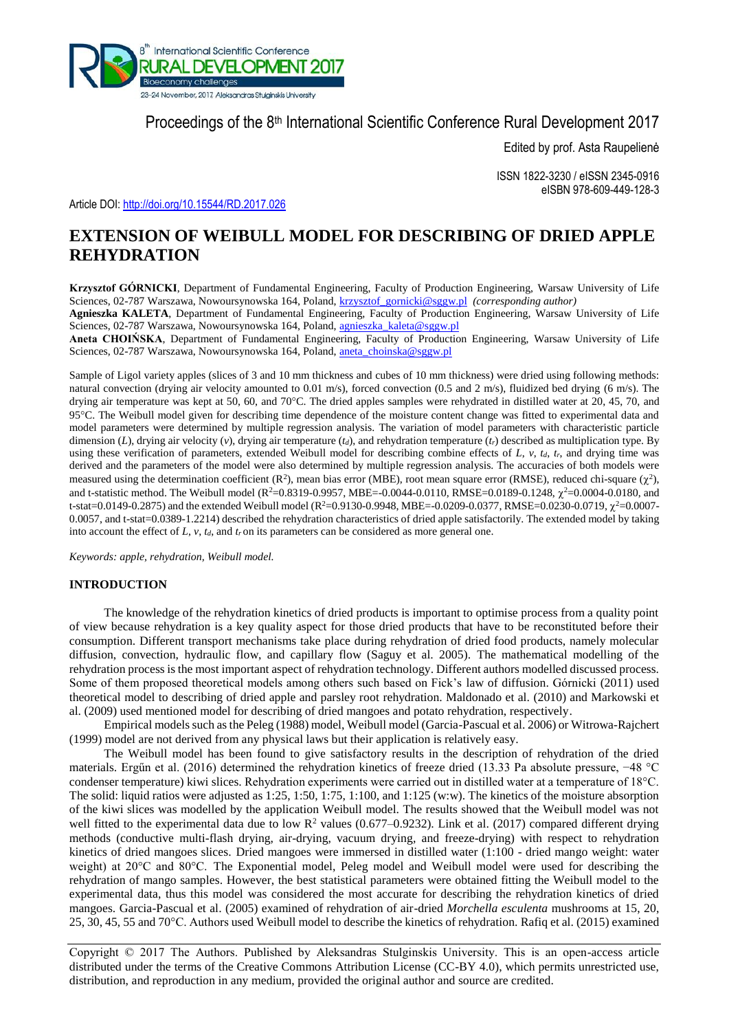

# Proceedings of the 8<sup>th</sup> International Scientific Conference Rural Development 2017

Edited by prof. Asta Raupelienė

ISSN 1822-3230 / eISSN 2345-0916 eISBN 978-609-449-128-3

Article DOI: <http://doi.org/10.15544/RD.2017.026>

# **EXTENSION OF WEIBULL MODEL FOR DESCRIBING OF DRIED APPLE REHYDRATION**

**Krzysztof GÓRNICKI**, Department of Fundamental Engineering, Faculty of Production Engineering, Warsaw University of Life Sciences, 02-787 Warszawa, Nowoursynowska 164, Poland, [krzysztof\\_gornicki@sggw.pl](mailto:krzysztof_gornicki@sggw.pl) *(corresponding author)*

**Agnieszka KALETA**, Department of Fundamental Engineering, Faculty of Production Engineering, Warsaw University of Life Sciences, 02-787 Warszawa, Nowoursynowska 164, Poland, [agnieszka\\_kaleta@sggw.pl](mailto:agnieszka_kaleta@sggw.pl)

**Aneta CHOIŃSKA**, Department of Fundamental Engineering, Faculty of Production Engineering, Warsaw University of Life Sciences, 02-787 Warszawa, Nowoursynowska 164, Poland, [aneta\\_choinska@sggw.pl](mailto:aneta_choinska@sggw.pl)

Sample of Ligol variety apples (slices of 3 and 10 mm thickness and cubes of 10 mm thickness) were dried using following methods: natural convection (drying air velocity amounted to 0.01 m/s), forced convection (0.5 and 2 m/s), fluidized bed drying (6 m/s). The drying air temperature was kept at 50, 60, and  $70^{\circ}$ C. The dried apples samples were rehydrated in distilled water at 20, 45, 70, and 95C. The Weibull model given for describing time dependence of the moisture content change was fitted to experimental data and model parameters were determined by multiple regression analysis. The variation of model parameters with characteristic particle dimension (*L*), drying air velocity (*v*), drying air temperature (*t<sub>d</sub>*), and rehydration temperature (*t<sub>r</sub>*) described as multiplication type. By using these verification of parameters, extended Weibull model for describing combine effects of *L*, *v*, *td*, *tr*, and drying time was derived and the parameters of the model were also determined by multiple regression analysis. The accuracies of both models were measured using the determination coefficient  $(R^2)$ , mean bias error (MBE), root mean square error (RMSE), reduced chi-square  $(\chi^2)$ , and t-statistic method. The Weibull model ( $R^2 = 0.8319 - 0.9957$ , MBE= $-0.0044 - 0.0110$ , RMSE= $0.0189 - 0.1248$ ,  $\chi^2 = 0.0004 - 0.0180$ , and t-stat=0.0149-0.2875) and the extended Weibull model ( $R^2$ =0.9130-0.9948, MBE=-0.0209-0.0377, RMSE=0.0230-0.0719,  $\chi^2$ =0.0007-0.0057, and t-stat=0.0389-1.2214) described the rehydration characteristics of dried apple satisfactorily. The extended model by taking into account the effect of  $L$ ,  $v$ ,  $t_d$ , and  $t_r$  on its parameters can be considered as more general one.

*Keywords: apple, rehydration, Weibull model.*

## **INTRODUCTION**

The knowledge of the rehydration kinetics of dried products is important to optimise process from a quality point of view because rehydration is a key quality aspect for those dried products that have to be reconstituted before their consumption. Different transport mechanisms take place during rehydration of dried food products, namely molecular diffusion, convection, hydraulic flow, and capillary flow (Saguy et al. 2005). The mathematical modelling of the rehydration process is the most important aspect of rehydration technology. Different authors modelled discussed process. Some of them proposed theoretical models among others such based on Fick's law of diffusion. Górnicki (2011) used theoretical model to describing of dried apple and parsley root rehydration. Maldonado et al. (2010) and Markowski et al. (2009) used mentioned model for describing of dried mangoes and potato rehydration, respectively.

Empirical models such as the Peleg (1988) model, Weibull model (Garcia-Pascual et al. 2006) or Witrowa-Rajchert (1999) model are not derived from any physical laws but their application is relatively easy.

The Weibull model has been found to give satisfactory results in the description of rehydration of the dried materials. Ergűn et al. (2016) determined the rehydration kinetics of freeze dried (13.33 Pa absolute pressure, −48 °C condenser temperature) kiwi slices. Rehydration experiments were carried out in distilled water at a temperature of 18°C. The solid: liquid ratios were adjusted as 1:25, 1:50, 1:75, 1:100, and 1:125 (w:w). The kinetics of the moisture absorption of the kiwi slices was modelled by the application Weibull model. The results showed that the Weibull model was not well fitted to the experimental data due to low  $R^2$  values (0.677–0.9232). Link et al. (2017) compared different drying methods (conductive multi-flash drying, air-drying, vacuum drying, and freeze-drying) with respect to rehydration kinetics of dried mangoes slices. Dried mangoes were immersed in distilled water (1:100 - dried mango weight: water weight) at 20°C and 80°C. The Exponential model, Peleg model and Weibull model were used for describing the rehydration of mango samples. However, the best statistical parameters were obtained fitting the Weibull model to the experimental data, thus this model was considered the most accurate for describing the rehydration kinetics of dried mangoes. Garcia-Pascual et al. (2005) examined of rehydration of air-dried *Morchella esculenta* mushrooms at 15, 20, 25, 30, 45, 55 and 70°C. Authors used Weibull model to describe the kinetics of rehydration. Rafiq et al. (2015) examined

Copyright © 2017 The Authors. Published by Aleksandras Stulginskis University. This is an open-access article distributed under the terms of the Creative Commons Attribution License (CC-BY 4.0), which permits unrestricted use, distribution, and reproduction in any medium, provided the original author and source are credited.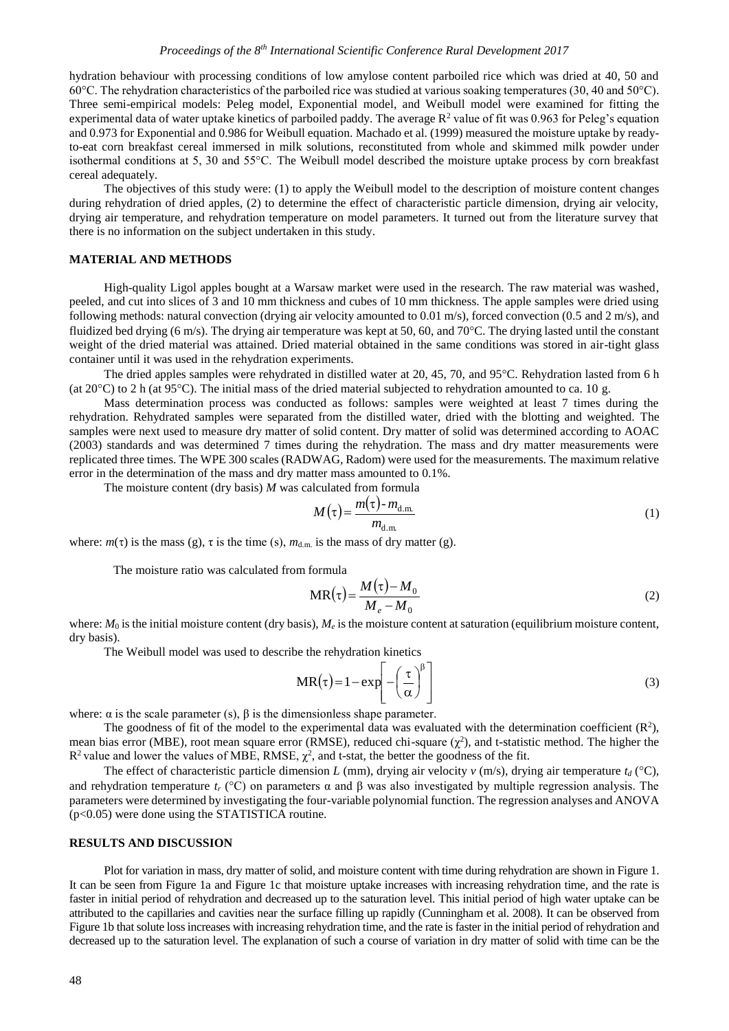hydration behaviour with processing conditions of low amylose content parboiled rice which was dried at 40, 50 and 60°C. The rehydration characteristics of the parboiled rice was studied at various soaking temperatures (30, 40 and 50°C). Three semi-empirical models: Peleg model, Exponential model, and Weibull model were examined for fitting the experimental data of water uptake kinetics of parboiled paddy. The average  $R^2$  value of fit was 0.963 for Peleg's equation and 0.973 for Exponential and 0.986 for Weibull equation. Machado et al. (1999) measured the moisture uptake by readyto-eat corn breakfast cereal immersed in milk solutions, reconstituted from whole and skimmed milk powder under isothermal conditions at 5, 30 and 55°C. The Weibull model described the moisture uptake process by corn breakfast cereal adequately.

The objectives of this study were: (1) to apply the Weibull model to the description of moisture content changes during rehydration of dried apples, (2) to determine the effect of characteristic particle dimension, drying air velocity, drying air temperature, and rehydration temperature on model parameters. It turned out from the literature survey that there is no information on the subject undertaken in this study.

### **MATERIAL AND METHODS**

High-quality Ligol apples bought at a Warsaw market were used in the research. The raw material was washed, peeled, and cut into slices of 3 and 10 mm thickness and cubes of 10 mm thickness. The apple samples were dried using following methods: natural convection (drying air velocity amounted to 0.01 m/s), forced convection (0.5 and 2 m/s), and fluidized bed drying (6 m/s). The drying air temperature was kept at 50, 60, and 70 °C. The drying lasted until the constant weight of the dried material was attained. Dried material obtained in the same conditions was stored in air-tight glass container until it was used in the rehydration experiments.

The dried apples samples were rehydrated in distilled water at 20, 45, 70, and  $95^{\circ}$ C. Rehydration lasted from 6 h (at 20 $^{\circ}$ C) to 2 h (at 95 $^{\circ}$ C). The initial mass of the dried material subjected to rehydration amounted to ca. 10 g.

Mass determination process was conducted as follows: samples were weighted at least 7 times during the rehydration. Rehydrated samples were separated from the distilled water, dried with the blotting and weighted. The samples were next used to measure dry matter of solid content. Dry matter of solid was determined according to AOAC (2003) standards and was determined 7 times during the rehydration. The mass and dry matter measurements were replicated three times. The WPE 300 scales (RADWAG, Radom) were used for the measurements. The maximum relative error in the determination of the mass and dry matter mass amounted to 0.1%.

The moisture content (dry basis) *M* was calculated from formula

$$
M(\tau) = \frac{m(\tau) - m_{\text{d.m.}}}{m_{\text{d.m.}}} \tag{1}
$$

where:  $m(\tau)$  is the mass (g),  $\tau$  is the time (s),  $m_{d,m}$  is the mass of dry matter (g).

The moisture ratio was calculated from formula

$$
MR(\tau) = \frac{M(\tau) - M_0}{M_e - M_0}
$$
 (2)

where:  $M_0$  is the initial moisture content (dry basis),  $M_e$  is the moisture content at saturation (equilibrium moisture content, dry basis).

The Weibull model was used to describe the rehydration kinetics

$$
MR(\tau) = 1 - \exp\left[-\left(\frac{\tau}{\alpha}\right)^{\beta}\right]
$$
 (3)

where:  $\alpha$  is the scale parameter (s),  $\beta$  is the dimensionless shape parameter.

The goodness of fit of the model to the experimental data was evaluated with the determination coefficient  $(R^2)$ , mean bias error (MBE), root mean square error (RMSE), reduced chi-square  $(\chi^2)$ , and t-statistic method. The higher the  $R^2$  value and lower the values of MBE, RMSE,  $\chi^2$ , and t-stat, the better the goodness of the fit.

The effect of characteristic particle dimension *L* (mm), drying air velocity *v* (m/s), drying air temperature  $t_d$  (°C), and rehydration temperature  $t_r$  (°C) on parameters  $\alpha$  and  $\beta$  was also investigated by multiple regression analysis. The parameters were determined by investigating the four-variable polynomial function. The regression analyses and ANOVA (p<0.05) were done using the STATISTICA routine.

## **RESULTS AND DISCUSSION**

Plot for variation in mass, dry matter of solid, and moisture content with time during rehydration are shown in Figure 1. It can be seen from Figure 1a and Figure 1c that moisture uptake increases with increasing rehydration time, and the rate is faster in initial period of rehydration and decreased up to the saturation level. This initial period of high water uptake can be attributed to the capillaries and cavities near the surface filling up rapidly (Cunningham et al. 2008). It can be observed from Figure 1b that solute loss increases with increasing rehydration time, and the rate is faster in the initial period of rehydration and decreased up to the saturation level. The explanation of such a course of variation in dry matter of solid with time can be the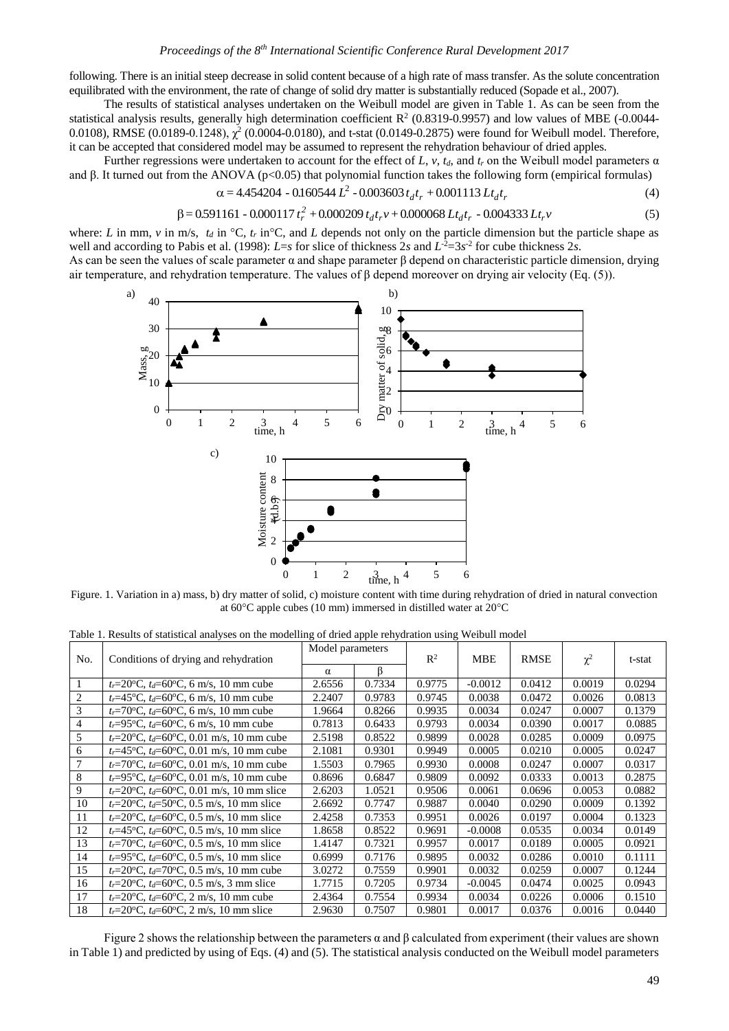following. There is an initial steep decrease in solid content because of a high rate of mass transfer. As the solute concentration equilibrated with the environment, the rate of change of solid dry matter is substantially reduced (Sopade et al., 2007).

The results of statistical analyses undertaken on the Weibull model are given in Table 1. As can be seen from the statistical analysis results, generally high determination coefficient  $R<sup>2</sup>$  (0.8319-0.9957) and low values of MBE (-0.0044-0.0108), RMSE (0.0189-0.1248),  $\chi^2$  (0.0004-0.0180), and t-stat (0.0149-0.2875) were found for Weibull model. Therefore, it can be accepted that considered model may be assumed to represent the rehydration behaviour of dried apples.

Further regressions were undertaken to account for the effect of L,  $v$ ,  $t_d$ , and  $t_r$  on the Weibull model parameters  $\alpha$ and β. It turned out from the ANOVA (p<0.05) that polynomial function takes the following form (empirical formulas)

$$
\alpha = 4.454204 - 0.160544 L^2 - 0.003603 t_d t_r + 0.001113 L t_d t_r \tag{4}
$$

$$
\beta = 0.591161 - 0.000117 t_r^2 + 0.000209 t_d t_r v + 0.000068 L t_d t_r - 0.004333 L t_r v \tag{5}
$$

where: *L* in mm, *v* in m/s,  $t_d$  in  $\mathrm{°C}$ ,  $t_r$  in $\mathrm{°C}$ , and *L* depends not only on the particle dimension but the particle shape as well and according to Pabis et al. (1998):  $L=s$  for slice of thickness 2*s* and  $L<sup>2</sup>=3s<sup>2</sup>$  for cube thickness 2*s*.

As can be seen the values of scale parameter  $\alpha$  and shape parameter  $\beta$  depend on characteristic particle dimension, drying air temperature, and rehydration temperature. The values of β depend moreover on drying air velocity (Eq. (5)).



Figure. 1. Variation in a) mass, b) dry matter of solid, c) moisture content with time during rehydration of dried in natural convection at 60 $\degree$ C apple cubes (10 mm) immersed in distilled water at 20 $\degree$ C

Table 1. Results of statistical analyses on the modelling of dried apple rehydration using Weibull model

| No. | Conditions of drying and rehydration                          | Model parameters |        | $\mathbb{R}^2$ | <b>MBE</b> | <b>RMSE</b> | $\chi^2$ | t-stat |
|-----|---------------------------------------------------------------|------------------|--------|----------------|------------|-------------|----------|--------|
|     |                                                               | $\alpha$         |        |                |            |             |          |        |
|     | $t_r = 20$ °C, $t_d = 60$ °C, 6 m/s, 10 mm cube               | 2.6556           | 0.7334 | 0.9775         | $-0.0012$  | 0.0412      | 0.0019   | 0.0294 |
| 2   | $t_r = 45^{\circ}C$ , $t_d = 60^{\circ}C$ , 6 m/s, 10 mm cube | 2.2407           | 0.9783 | 0.9745         | 0.0038     | 0.0472      | 0.0026   | 0.0813 |
| 3   | $t_r = 70$ °C, $t_d = 60$ °C, 6 m/s, 10 mm cube               | 1.9664           | 0.8266 | 0.9935         | 0.0034     | 0.0247      | 0.0007   | 0.1379 |
| 4   | $t_r = 95$ °C, $t_d = 60$ °C, 6 m/s, 10 mm cube               | 0.7813           | 0.6433 | 0.9793         | 0.0034     | 0.0390      | 0.0017   | 0.0885 |
| 5   | $t_r = 20$ °C, $t_d = 60$ °C, 0.01 m/s, 10 mm cube            | 2.5198           | 0.8522 | 0.9899         | 0.0028     | 0.0285      | 0.0009   | 0.0975 |
| 6   | $t_r = 45$ °C, $t_d = 60$ °C, 0.01 m/s, 10 mm cube            | 2.1081           | 0.9301 | 0.9949         | 0.0005     | 0.0210      | 0.0005   | 0.0247 |
| 7   | $t_r = 70$ °C, $t_d = 60$ °C, 0.01 m/s, 10 mm cube            | 1.5503           | 0.7965 | 0.9930         | 0.0008     | 0.0247      | 0.0007   | 0.0317 |
| 8   | $t_r = 95$ °C, $t_d = 60$ °C, 0.01 m/s, 10 mm cube            | 0.8696           | 0.6847 | 0.9809         | 0.0092     | 0.0333      | 0.0013   | 0.2875 |
| 9   | $t_r = 20$ °C, $t_d = 60$ °C, 0.01 m/s, 10 mm slice           | 2.6203           | 1.0521 | 0.9506         | 0.0061     | 0.0696      | 0.0053   | 0.0882 |
| 10  | $t_r = 20$ °C, $t_d = 50$ °C, 0.5 m/s, 10 mm slice            | 2.6692           | 0.7747 | 0.9887         | 0.0040     | 0.0290      | 0.0009   | 0.1392 |
| 11  | $t_r = 20$ °C, $t_d = 60$ °C, 0.5 m/s, 10 mm slice            | 2.4258           | 0.7353 | 0.9951         | 0.0026     | 0.0197      | 0.0004   | 0.1323 |
| 12  | $t_r = 45$ °C, $t_d = 60$ °C, 0.5 m/s, 10 mm slice            | 1.8658           | 0.8522 | 0.9691         | $-0.0008$  | 0.0535      | 0.0034   | 0.0149 |
| 13  | $t_r = 70$ °C, $t_d = 60$ °C, 0.5 m/s, 10 mm slice            | 1.4147           | 0.7321 | 0.9957         | 0.0017     | 0.0189      | 0.0005   | 0.0921 |
| 14  | $t_r = 95$ °C, $t_d = 60$ °C, 0.5 m/s, 10 mm slice            | 0.6999           | 0.7176 | 0.9895         | 0.0032     | 0.0286      | 0.0010   | 0.1111 |
| 15  | $t_r = 20$ °C, $t_d = 70$ °C, 0.5 m/s, 10 mm cube             | 3.0272           | 0.7559 | 0.9901         | 0.0032     | 0.0259      | 0.0007   | 0.1244 |
| 16  | $t_r = 20$ °C, $t_d = 60$ °C, 0.5 m/s, 3 mm slice             | 1.7715           | 0.7205 | 0.9734         | $-0.0045$  | 0.0474      | 0.0025   | 0.0943 |
| 17  | $t_r = 20$ °C, $t_d = 60$ °C, 2 m/s, 10 mm cube               | 2.4364           | 0.7554 | 0.9934         | 0.0034     | 0.0226      | 0.0006   | 0.1510 |
| 18  | $t_r = 20$ °C, $t_d = 60$ °C, 2 m/s, 10 mm slice              | 2.9630           | 0.7507 | 0.9801         | 0.0017     | 0.0376      | 0.0016   | 0.0440 |

Figure 2 shows the relationship between the parameters  $α$  and  $β$  calculated from experiment (their values are shown in Table 1) and predicted by using of Eqs. (4) and (5). The statistical analysis conducted on the Weibull model parameters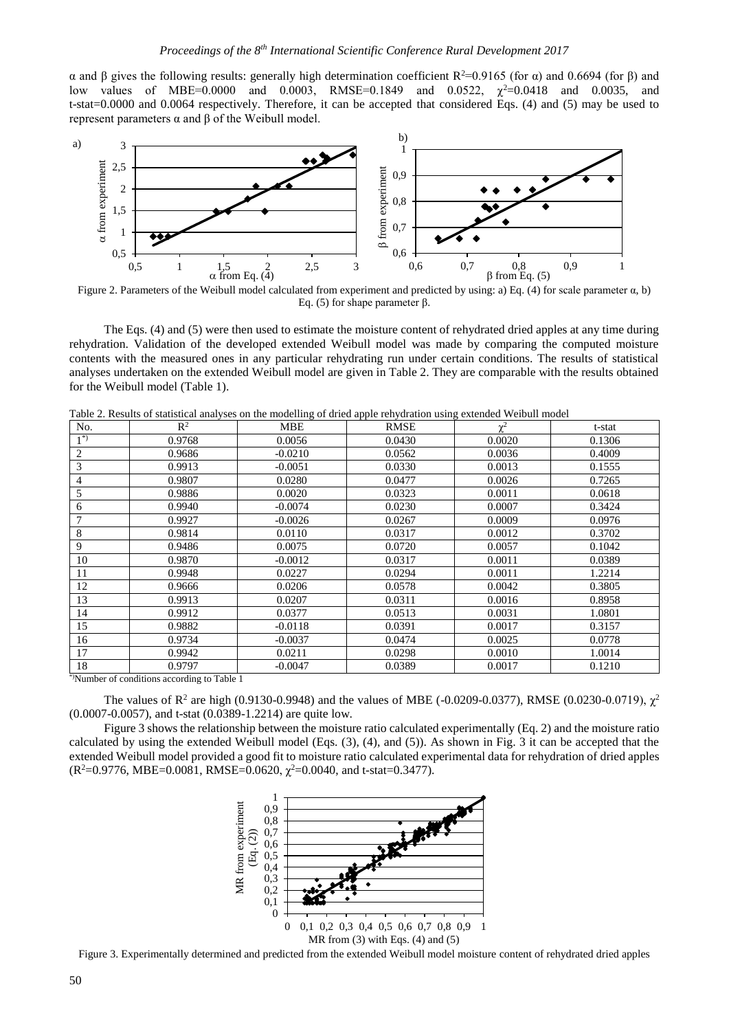α and β gives the following results: generally high determination coefficient R<sup>2</sup>=0.9165 (for α) and 0.6694 (for β) and low values of MBE=0.0000 and 0.0003, RMSE=0.1849 and 0.0522,  $\chi^2$ =0.0418 and 0.0035, and t-stat=0.0000 and 0.0064 respectively. Therefore, it can be accepted that considered Eqs. (4) and (5) may be used to represent parameters α and β of the Weibull model.



Figure 2. Parameters of the Weibull model calculated from experiment and predicted by using: a) Eq. (4) for scale parameter α, b) Eq. (5) for shape parameter β.

The Eqs. (4) and (5) were then used to estimate the moisture content of rehydrated dried apples at any time during rehydration. Validation of the developed extended Weibull model was made by comparing the computed moisture contents with the measured ones in any particular rehydrating run under certain conditions. The results of statistical analyses undertaken on the extended Weibull model are given in Table 2. They are comparable with the results obtained for the Weibull model (Table 1).

Table 2. Results of statistical analyses on the modelling of dried apple rehydration using extended Weibull model

| No.                                       | $\mathbb{R}^2$ | <b>MBE</b> | <b>RMSE</b> | $\mathbf{v}^2$ | t-stat |  |  |  |  |
|-------------------------------------------|----------------|------------|-------------|----------------|--------|--|--|--|--|
| $1^{*}$                                   | 0.9768         | 0.0056     | 0.0430      | 0.0020         | 0.1306 |  |  |  |  |
| 2                                         | 0.9686         | $-0.0210$  | 0.0562      | 0.0036         | 0.4009 |  |  |  |  |
| 3                                         | 0.9913         | $-0.0051$  | 0.0330      | 0.0013         | 0.1555 |  |  |  |  |
| 4                                         | 0.9807         | 0.0280     | 0.0477      | 0.0026         | 0.7265 |  |  |  |  |
| 5                                         | 0.9886         | 0.0020     | 0.0323      | 0.0011         | 0.0618 |  |  |  |  |
| 6                                         | 0.9940         | $-0.0074$  | 0.0230      | 0.0007         | 0.3424 |  |  |  |  |
| 7                                         | 0.9927         | $-0.0026$  | 0.0267      | 0.0009         | 0.0976 |  |  |  |  |
| 8                                         | 0.9814         | 0.0110     | 0.0317      | 0.0012         | 0.3702 |  |  |  |  |
| 9                                         | 0.9486         | 0.0075     | 0.0720      | 0.0057         | 0.1042 |  |  |  |  |
| 10                                        | 0.9870         | $-0.0012$  | 0.0317      | 0.0011         | 0.0389 |  |  |  |  |
| 11                                        | 0.9948         | 0.0227     | 0.0294      | 0.0011         | 1.2214 |  |  |  |  |
| 12                                        | 0.9666         | 0.0206     | 0.0578      | 0.0042         | 0.3805 |  |  |  |  |
| 13                                        | 0.9913         | 0.0207     | 0.0311      | 0.0016         | 0.8958 |  |  |  |  |
| 14                                        | 0.9912         | 0.0377     | 0.0513      | 0.0031         | 1.0801 |  |  |  |  |
| 15                                        | 0.9882         | $-0.0118$  | 0.0391      | 0.0017         | 0.3157 |  |  |  |  |
| 16                                        | 0.9734         | $-0.0037$  | 0.0474      | 0.0025         | 0.0778 |  |  |  |  |
| 17                                        | 0.9942         | 0.0211     | 0.0298      | 0.0010         | 1.0014 |  |  |  |  |
| 18                                        | 0.9797         | $-0.0047$  | 0.0389      | 0.0017         | 0.1210 |  |  |  |  |
| Number of conditions according to Table 1 |                |            |             |                |        |  |  |  |  |

<sup>2</sup>Number of conditions according to Table 1

The values of  $R^2$  are high (0.9130-0.9948) and the values of MBE (-0.0209-0.0377), RMSE (0.0230-0.0719),  $\chi^2$ (0.0007-0.0057), and t-stat (0.0389-1.2214) are quite low.

Figure 3 shows the relationship between the moisture ratio calculated experimentally (Eq. 2) and the moisture ratio calculated by using the extended Weibull model (Eqs. (3), (4), and (5)). As shown in Fig. 3 it can be accepted that the extended Weibull model provided a good fit to moisture ratio calculated experimental data for rehydration of dried apples  $(R^2=0.9776, MBE=0.0081, RMSE=0.0620, \chi^2=0.0040, and t-stat=0.3477).$